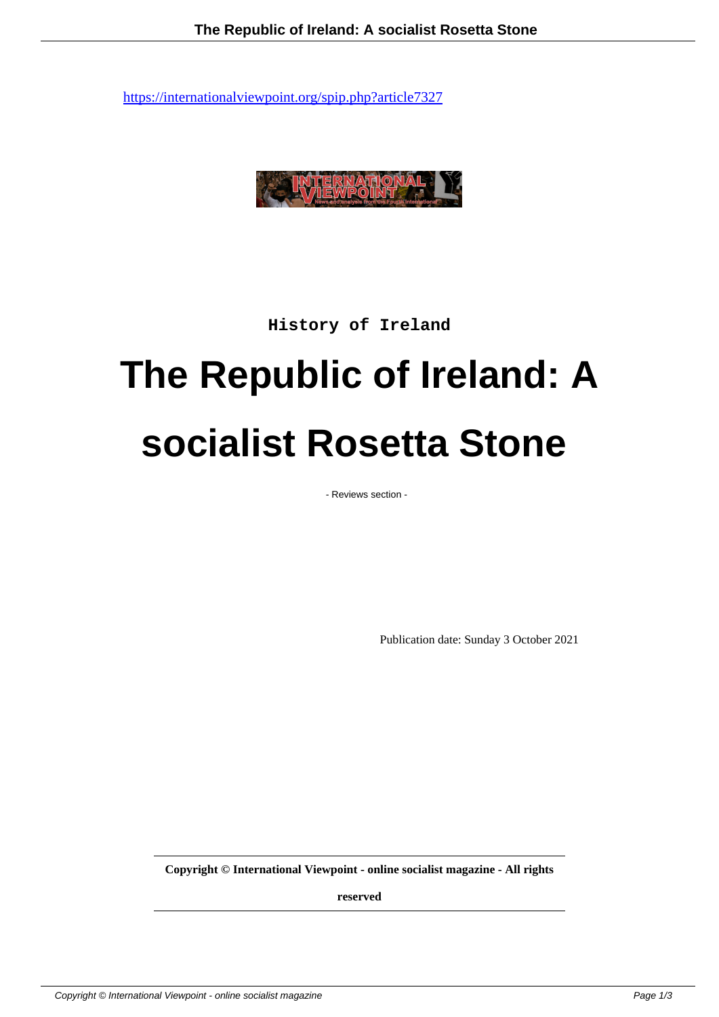

**History of Ireland**

## **The Republic of Ireland: A socialist Rosetta Stone**

- Reviews section -

Publication date: Sunday 3 October 2021

**Copyright © International Viewpoint - online socialist magazine - All rights**

**reserved**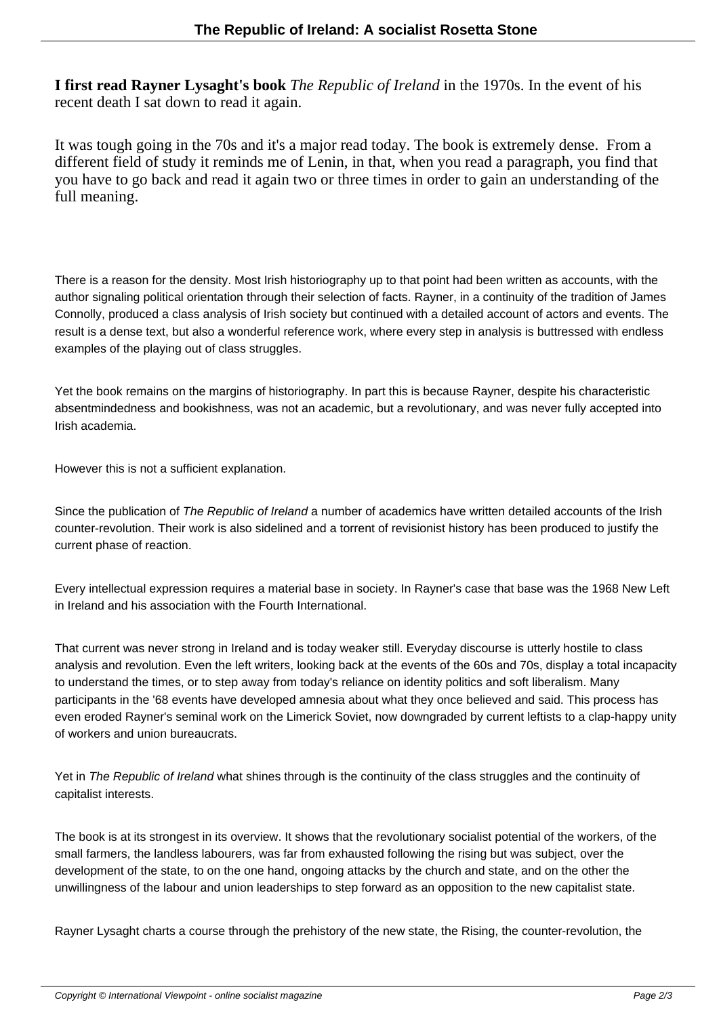**I first read Rayner Lysaght's book** *The Republic of Ireland* in the 1970s. In the event of his recent death I sat down to read it again.

It was tough going in the 70s and it's a major read today. The book is extremely dense. From a different field of study it reminds me of Lenin, in that, when you read a paragraph, you find that you have to go back and read it again two or three times in order to gain an understanding of the full meaning.

There is a reason for the density. Most Irish historiography up to that point had been written as accounts, with the author signaling political orientation through their selection of facts. Rayner, in a continuity of the tradition of James Connolly, produced a class analysis of Irish society but continued with a detailed account of actors and events. The result is a dense text, but also a wonderful reference work, where every step in analysis is buttressed with endless examples of the playing out of class struggles.

Yet the book remains on the margins of historiography. In part this is because Rayner, despite his characteristic absentmindedness and bookishness, was not an academic, but a revolutionary, and was never fully accepted into Irish academia.

However this is not a sufficient explanation.

Since the publication of The Republic of Ireland a number of academics have written detailed accounts of the Irish counter-revolution. Their work is also sidelined and a torrent of revisionist history has been produced to justify the current phase of reaction.

Every intellectual expression requires a material base in society. In Rayner's case that base was the 1968 New Left in Ireland and his association with the Fourth International.

That current was never strong in Ireland and is today weaker still. Everyday discourse is utterly hostile to class analysis and revolution. Even the left writers, looking back at the events of the 60s and 70s, display a total incapacity to understand the times, or to step away from today's reliance on identity politics and soft liberalism. Many participants in the '68 events have developed amnesia about what they once believed and said. This process has even eroded Rayner's seminal work on the Limerick Soviet, now downgraded by current leftists to a clap-happy unity of workers and union bureaucrats.

Yet in The Republic of Ireland what shines through is the continuity of the class struggles and the continuity of capitalist interests.

The book is at its strongest in its overview. It shows that the revolutionary socialist potential of the workers, of the small farmers, the landless labourers, was far from exhausted following the rising but was subject, over the development of the state, to on the one hand, ongoing attacks by the church and state, and on the other the unwillingness of the labour and union leaderships to step forward as an opposition to the new capitalist state.

Rayner Lysaght charts a course through the prehistory of the new state, the Rising, the counter-revolution, the